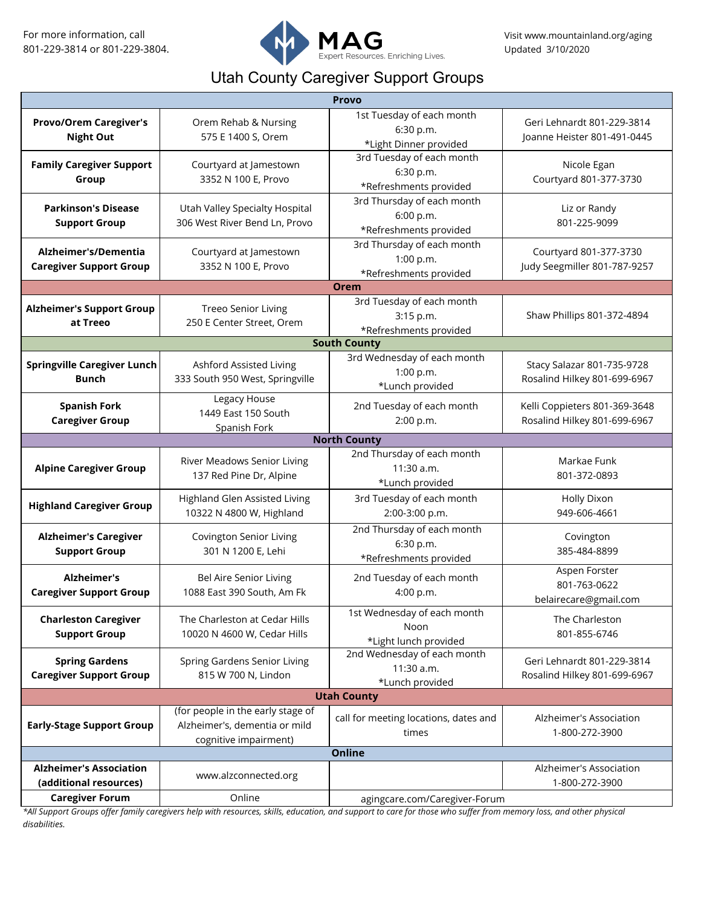

## Utah County Caregiver Support Groups

| <b>Provo</b>                                             |                                                                                             |                                                                   |                                                               |  |
|----------------------------------------------------------|---------------------------------------------------------------------------------------------|-------------------------------------------------------------------|---------------------------------------------------------------|--|
| <b>Provo/Orem Caregiver's</b><br><b>Night Out</b>        | Orem Rehab & Nursing<br>575 E 1400 S, Orem                                                  | 1st Tuesday of each month<br>6:30 p.m.<br>*Light Dinner provided  | Geri Lehnardt 801-229-3814<br>Joanne Heister 801-491-0445     |  |
| <b>Family Caregiver Support</b><br>Group                 | Courtyard at Jamestown<br>3352 N 100 E, Provo                                               | 3rd Tuesday of each month<br>6:30 p.m.<br>*Refreshments provided  | Nicole Egan<br>Courtyard 801-377-3730                         |  |
| <b>Parkinson's Disease</b><br><b>Support Group</b>       | Utah Valley Specialty Hospital<br>306 West River Bend Ln, Provo                             | 3rd Thursday of each month<br>6:00 p.m.<br>*Refreshments provided | Liz or Randy<br>801-225-9099                                  |  |
| Alzheimer's/Dementia<br><b>Caregiver Support Group</b>   | Courtyard at Jamestown<br>3352 N 100 E, Provo                                               | 3rd Thursday of each month<br>1:00 p.m.<br>*Refreshments provided | Courtyard 801-377-3730<br>Judy Seegmiller 801-787-9257        |  |
|                                                          |                                                                                             | <b>Orem</b>                                                       |                                                               |  |
| <b>Alzheimer's Support Group</b><br>at Treeo             | <b>Treeo Senior Living</b><br>250 E Center Street, Orem                                     | 3rd Tuesday of each month<br>3:15 p.m.<br>*Refreshments provided  | Shaw Phillips 801-372-4894                                    |  |
| <b>South County</b>                                      |                                                                                             |                                                                   |                                                               |  |
| <b>Springville Caregiver Lunch</b><br><b>Bunch</b>       | Ashford Assisted Living<br>333 South 950 West, Springville                                  | 3rd Wednesday of each month<br>1:00 p.m.<br>*Lunch provided       | Stacy Salazar 801-735-9728<br>Rosalind Hilkey 801-699-6967    |  |
| <b>Spanish Fork</b><br><b>Caregiver Group</b>            | Legacy House<br>1449 East 150 South<br>Spanish Fork                                         | 2nd Tuesday of each month<br>2:00 p.m.                            | Kelli Coppieters 801-369-3648<br>Rosalind Hilkey 801-699-6967 |  |
|                                                          |                                                                                             | <b>North County</b>                                               |                                                               |  |
| <b>Alpine Caregiver Group</b>                            | River Meadows Senior Living<br>137 Red Pine Dr, Alpine                                      | 2nd Thursday of each month<br>$11:30$ a.m.<br>*Lunch provided     | Markae Funk<br>801-372-0893                                   |  |
| <b>Highland Caregiver Group</b>                          | <b>Highland Glen Assisted Living</b><br>10322 N 4800 W, Highland                            | 3rd Tuesday of each month<br>2:00-3:00 p.m.                       | <b>Holly Dixon</b><br>949-606-4661                            |  |
| <b>Alzheimer's Caregiver</b><br><b>Support Group</b>     | Covington Senior Living<br>301 N 1200 E, Lehi                                               | 2nd Thursday of each month<br>6:30 p.m.<br>*Refreshments provided | Covington<br>385-484-8899                                     |  |
| <b>Alzheimer's</b><br><b>Caregiver Support Group</b>     | Bel Aire Senior Living<br>1088 East 390 South, Am Fk                                        | 2nd Tuesday of each month<br>4:00 p.m.                            | Aspen Forster<br>801-763-0622<br>belairecare@gmail.com        |  |
| <b>Charleston Caregiver</b><br><b>Support Group</b>      | The Charleston at Cedar Hills<br>10020 N 4600 W, Cedar Hills                                | 1st Wednesday of each month<br>Noon<br>*Light lunch provided      | The Charleston<br>801-855-6746                                |  |
| <b>Spring Gardens</b><br><b>Caregiver Support Group</b>  | Spring Gardens Senior Living<br>815 W 700 N, Lindon                                         | 2nd Wednesday of each month<br>11:30 a.m.<br>*Lunch provided      | Geri Lehnardt 801-229-3814<br>Rosalind Hilkey 801-699-6967    |  |
| <b>Utah County</b>                                       |                                                                                             |                                                                   |                                                               |  |
| <b>Early-Stage Support Group</b>                         | (for people in the early stage of<br>Alzheimer's, dementia or mild<br>cognitive impairment) | call for meeting locations, dates and<br>times                    | Alzheimer's Association<br>1-800-272-3900                     |  |
| <b>Online</b>                                            |                                                                                             |                                                                   |                                                               |  |
| <b>Alzheimer's Association</b><br>(additional resources) | www.alzconnected.org                                                                        |                                                                   | Alzheimer's Association<br>1-800-272-3900                     |  |
| <b>Caregiver Forum</b>                                   | Online                                                                                      | agingcare.com/Caregiver-Forum                                     |                                                               |  |

*\*All Support Groups offer family caregivers help with resources, skills, education, and support to care for those who suffer from memory loss, and other physical disabilities.*